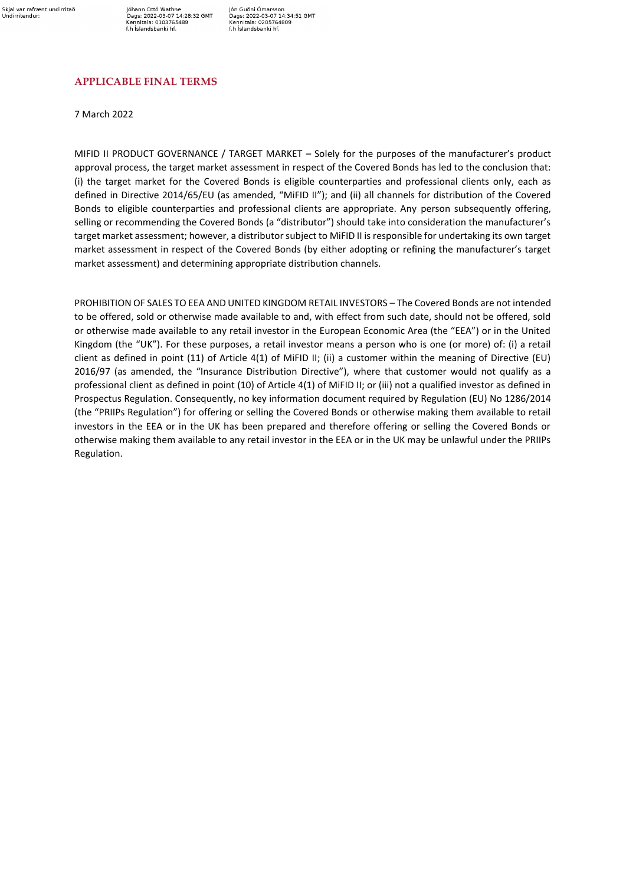Jóhann Ottó Wathne<br>Dags: 2022-03-07 14:28:32 GMT Kennitala: 0103765489 f.h Íslandsbanki hf.

Jón Guðni Ómarsson Jon Guoni Omarsson<br>Dags: 2022-03-07 14:34:51 GMT<br>Kennitala: 0205764809<br>f.h Íslandsbanki hf.

### **APPLICABLE FINAL TERMS**

7 March 2022

MIFID II PRODUCT GOVERNANCE / TARGET MARKET – Solely for the purposes of the manufacturer's product approval process, the target market assessment in respect of the Covered Bonds has led to the conclusion that: (i) the target market for the Covered Bonds is eligible counterparties and professional clients only, each as defined in Directive 2014/65/EU (as amended, "MiFID II"); and (ii) all channels for distribution of the Covered Bonds to eligible counterparties and professional clients are appropriate. Any person subsequently offering, selling or recommending the Covered Bonds (a "distributor") should take into consideration the manufacturer's target market assessment; however, a distributor subject to MiFID II is responsible for undertaking its own target market assessment in respect of the Covered Bonds (by either adopting or refining the manufacturer's target market assessment) and determining appropriate distribution channels.

PROHIBITION OF SALES TO EEA AND UNITED KINGDOM RETAIL INVESTORS – The Covered Bonds are not intended to be offered, sold or otherwise made available to and, with effect from such date, should not be offered, sold or otherwise made available to any retail investor in the European Economic Area (the "EEA") or in the United Kingdom (the "UK"). For these purposes, a retail investor means a person who is one (or more) of: (i) a retail client as defined in point (11) of Article 4(1) of MiFID II; (ii) a customer within the meaning of Directive (EU) 2016/97 (as amended, the "Insurance Distribution Directive"), where that customer would not qualify as a professional client as defined in point (10) of Article 4(1) of MiFID II; or (iii) not a qualified investor as defined in Prospectus Regulation. Consequently, no key information document required by Regulation (EU) No 1286/2014 (the "PRIIPs Regulation") for offering or selling the Covered Bonds or otherwise making them available to retail investors in the EEA or in the UK has been prepared and therefore offering or selling the Covered Bonds or otherwise making them available to any retail investor in the EEA or in the UK may be unlawful under the PRIIPs Regulation.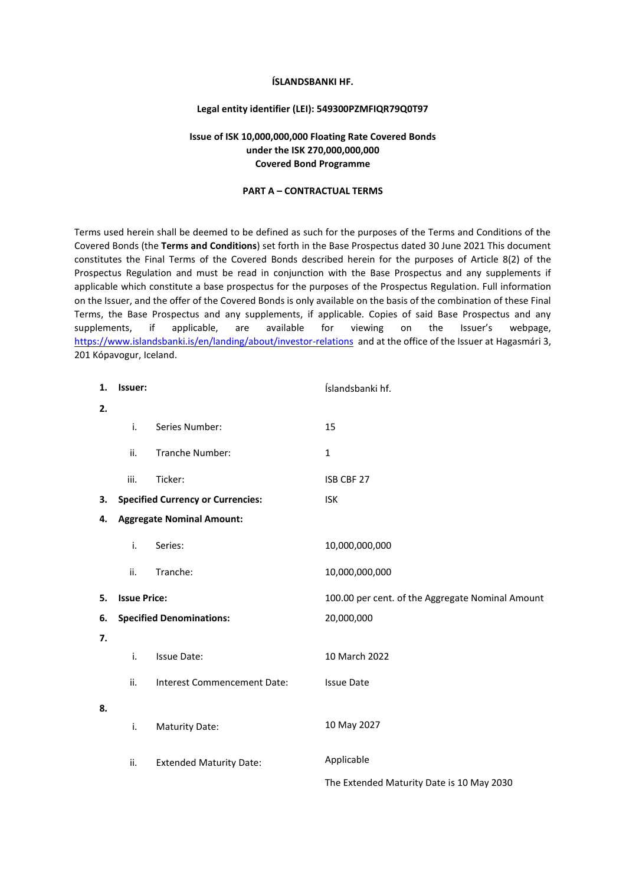#### **ÍSLANDSBANKI HF.**

#### **Legal entity identifier (LEI): 549300PZMFIQR79Q0T97**

### **Issue of ISK 10,000,000,000 Floating Rate Covered Bonds under the ISK 270,000,000,000 Covered Bond Programme**

#### **PART A – CONTRACTUAL TERMS**

Terms used herein shall be deemed to be defined as such for the purposes of the Terms and Conditions of the Covered Bonds (the **Terms and Conditions**) set forth in the Base Prospectus dated 30 June 2021 This document constitutes the Final Terms of the Covered Bonds described herein for the purposes of Article 8(2) of the Prospectus Regulation and must be read in conjunction with the Base Prospectus and any supplements if applicable which constitute a base prospectus for the purposes of the Prospectus Regulation. Full information on the Issuer, and the offer of the Covered Bonds is only available on the basis of the combination of these Final Terms, the Base Prospectus and any supplements, if applicable. Copies of said Base Prospectus and any supplements, if applicable, are available for viewing on the Issuer's webpage, <https://www.islandsbanki.is/en/landing/about/investor-relations>and at the office of the Issuer at Hagasmári 3, 201 Kópavogur, Iceland.

| 1. | Issuer:             |                                          | Íslandsbanki hf.                                 |
|----|---------------------|------------------------------------------|--------------------------------------------------|
| 2. |                     |                                          |                                                  |
|    | i.                  | Series Number:                           | 15                                               |
|    | ii.                 | Tranche Number:                          | $\mathbf{1}$                                     |
|    | iii.                | Ticker:                                  | ISB CBF 27                                       |
| З. |                     | <b>Specified Currency or Currencies:</b> | <b>ISK</b>                                       |
| 4. |                     | <b>Aggregate Nominal Amount:</b>         |                                                  |
|    | i.                  | Series:                                  | 10,000,000,000                                   |
|    | ii.                 | Tranche:                                 | 10,000,000,000                                   |
|    |                     |                                          |                                                  |
| 5. | <b>Issue Price:</b> |                                          | 100.00 per cent. of the Aggregate Nominal Amount |
| 6. |                     | <b>Specified Denominations:</b>          | 20,000,000                                       |
| 7. |                     |                                          |                                                  |
|    | i.                  | <b>Issue Date:</b>                       | 10 March 2022                                    |
|    | ii.                 | Interest Commencement Date:              | <b>Issue Date</b>                                |
| 8. |                     |                                          |                                                  |
|    | i.                  | <b>Maturity Date:</b>                    | 10 May 2027                                      |
|    | ii.                 | <b>Extended Maturity Date:</b>           | Applicable                                       |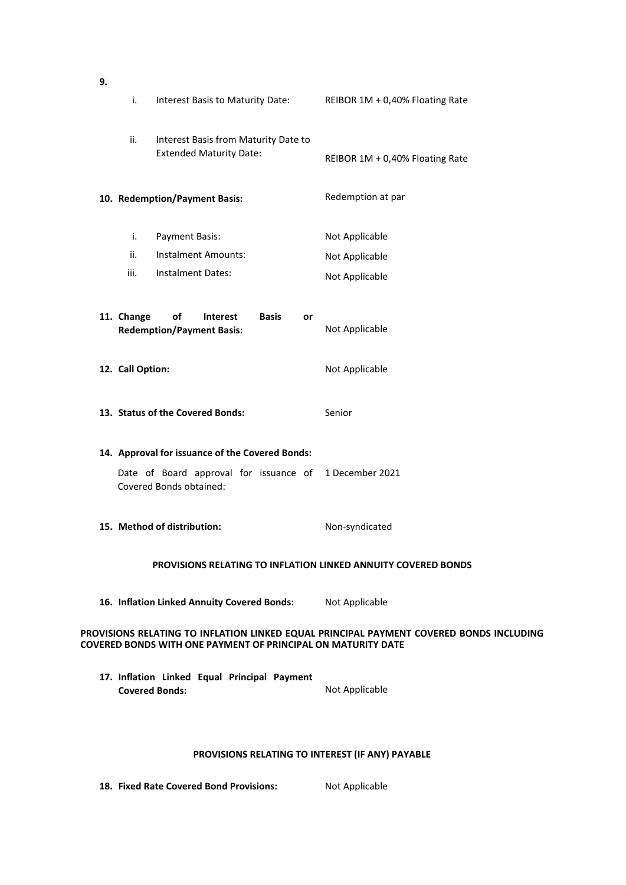| 9.                                                                                                                                                             |                                                                      |                                                                                 |                                 |  |  |
|----------------------------------------------------------------------------------------------------------------------------------------------------------------|----------------------------------------------------------------------|---------------------------------------------------------------------------------|---------------------------------|--|--|
|                                                                                                                                                                | i.                                                                   | Interest Basis to Maturity Date:                                                | REIBOR 1M + 0,40% Floating Rate |  |  |
|                                                                                                                                                                | ii.                                                                  | Interest Basis from Maturity Date to<br><b>Extended Maturity Date:</b>          | REIBOR 1M + 0,40% Floating Rate |  |  |
|                                                                                                                                                                |                                                                      | 10. Redemption/Payment Basis:                                                   | Redemption at par               |  |  |
|                                                                                                                                                                | i.                                                                   | Payment Basis:                                                                  | Not Applicable                  |  |  |
|                                                                                                                                                                | ii.                                                                  | <b>Instalment Amounts:</b>                                                      | Not Applicable                  |  |  |
|                                                                                                                                                                | iii.                                                                 | <b>Instalment Dates:</b>                                                        | Not Applicable                  |  |  |
|                                                                                                                                                                | 11. Change                                                           | of<br><b>Interest</b><br><b>Basis</b><br>or<br><b>Redemption/Payment Basis:</b> | Not Applicable                  |  |  |
|                                                                                                                                                                | 12. Call Option:                                                     |                                                                                 | Not Applicable                  |  |  |
|                                                                                                                                                                |                                                                      | 13. Status of the Covered Bonds:                                                | Senior                          |  |  |
|                                                                                                                                                                |                                                                      | 14. Approval for issuance of the Covered Bonds:                                 |                                 |  |  |
|                                                                                                                                                                |                                                                      | Date of Board approval for issuance of<br>Covered Bonds obtained:               | 1 December 2021                 |  |  |
|                                                                                                                                                                |                                                                      | 15. Method of distribution:                                                     | Non-syndicated                  |  |  |
|                                                                                                                                                                | <b>PROVISIONS RELATING TO INFLATION LINKED ANNUITY COVERED BONDS</b> |                                                                                 |                                 |  |  |
|                                                                                                                                                                |                                                                      | 16. Inflation Linked Annuity Covered Bonds:                                     | Not Applicable                  |  |  |
| PROVISIONS RELATING TO INFLATION LINKED EQUAL PRINCIPAL PAYMENT COVERED BONDS INCLUDING<br><b>COVERED BONDS WITH ONE PAYMENT OF PRINCIPAL ON MATURITY DATE</b> |                                                                      |                                                                                 |                                 |  |  |
|                                                                                                                                                                |                                                                      | 17. Inflation Linked Equal Principal Payment<br><b>Covered Bonds:</b>           | Not Applicable                  |  |  |
|                                                                                                                                                                |                                                                      |                                                                                 |                                 |  |  |

# **PROVISIONS RELATING TO INTEREST (IF ANY) PAYABLE**

**18. Fixed Rate Covered Bond Provisions:** Not Applicable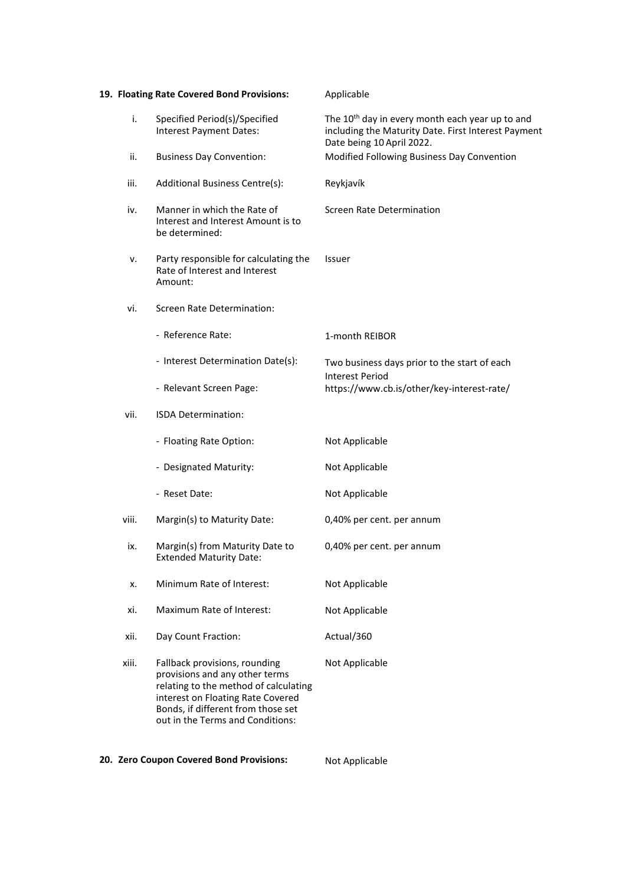|       | 19. Floating Rate Covered Bond Provisions:                                                                                                                                                                              | Applicable                                                                                                                                      |
|-------|-------------------------------------------------------------------------------------------------------------------------------------------------------------------------------------------------------------------------|-------------------------------------------------------------------------------------------------------------------------------------------------|
| i.    | Specified Period(s)/Specified<br>Interest Payment Dates:                                                                                                                                                                | The 10 <sup>th</sup> day in every month each year up to and<br>including the Maturity Date. First Interest Payment<br>Date being 10 April 2022. |
| ii.   | <b>Business Day Convention:</b>                                                                                                                                                                                         | Modified Following Business Day Convention                                                                                                      |
| iii.  | Additional Business Centre(s):                                                                                                                                                                                          | Reykjavík                                                                                                                                       |
| iv.   | Manner in which the Rate of<br>Interest and Interest Amount is to<br>be determined:                                                                                                                                     | Screen Rate Determination                                                                                                                       |
| ν.    | Party responsible for calculating the<br>Rate of Interest and Interest<br>Amount:                                                                                                                                       | Issuer                                                                                                                                          |
| vi.   | <b>Screen Rate Determination:</b>                                                                                                                                                                                       |                                                                                                                                                 |
|       | - Reference Rate:                                                                                                                                                                                                       | 1-month REIBOR                                                                                                                                  |
|       | - Interest Determination Date(s):                                                                                                                                                                                       | Two business days prior to the start of each<br>Interest Period                                                                                 |
|       | - Relevant Screen Page:                                                                                                                                                                                                 | https://www.cb.is/other/key-interest-rate/                                                                                                      |
| vii.  | ISDA Determination:                                                                                                                                                                                                     |                                                                                                                                                 |
|       | - Floating Rate Option:                                                                                                                                                                                                 | Not Applicable                                                                                                                                  |
|       | - Designated Maturity:                                                                                                                                                                                                  | Not Applicable                                                                                                                                  |
|       | - Reset Date:                                                                                                                                                                                                           | Not Applicable                                                                                                                                  |
| viii. | Margin(s) to Maturity Date:                                                                                                                                                                                             | 0,40% per cent. per annum                                                                                                                       |
| ix.   | Margin(s) from Maturity Date to<br><b>Extended Maturity Date:</b>                                                                                                                                                       | 0,40% per cent. per annum                                                                                                                       |
| x.    | Minimum Rate of Interest:                                                                                                                                                                                               | Not Applicable                                                                                                                                  |
| xi.   | Maximum Rate of Interest:                                                                                                                                                                                               | Not Applicable                                                                                                                                  |
| xii.  | Day Count Fraction:                                                                                                                                                                                                     | Actual/360                                                                                                                                      |
| xiii. | Fallback provisions, rounding<br>provisions and any other terms<br>relating to the method of calculating<br>interest on Floating Rate Covered<br>Bonds, if different from those set<br>out in the Terms and Conditions: | Not Applicable                                                                                                                                  |

# **20. Zero Coupon Covered Bond Provisions:** Not Applicable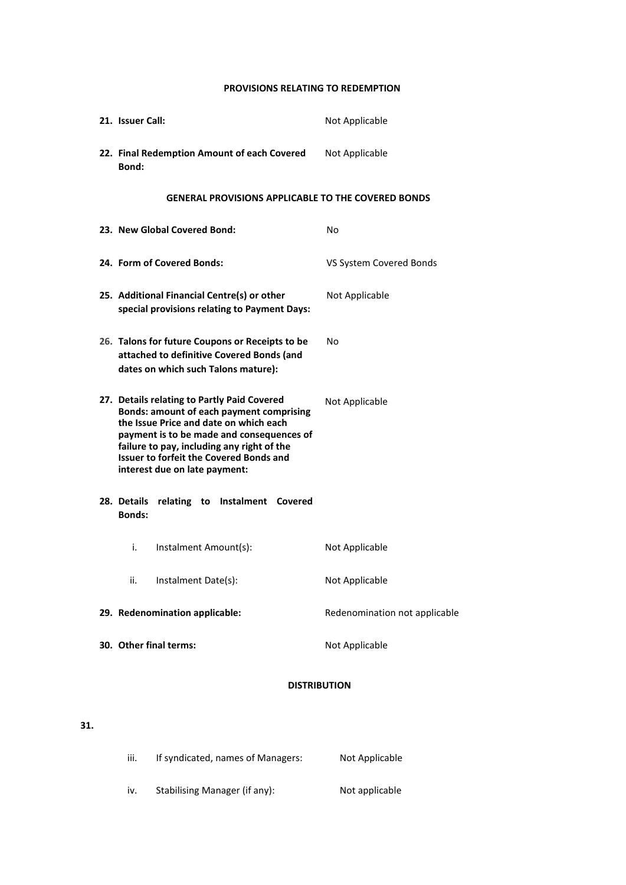## **PROVISIONS RELATING TO REDEMPTION**

| 21. Issuer Call:             |                                                                                                                                                                                                                                                                                                                        | Not Applicable                |
|------------------------------|------------------------------------------------------------------------------------------------------------------------------------------------------------------------------------------------------------------------------------------------------------------------------------------------------------------------|-------------------------------|
| Bond:                        | 22. Final Redemption Amount of each Covered                                                                                                                                                                                                                                                                            | Not Applicable                |
|                              | <b>GENERAL PROVISIONS APPLICABLE TO THE COVERED BONDS</b>                                                                                                                                                                                                                                                              |                               |
|                              | 23. New Global Covered Bond:                                                                                                                                                                                                                                                                                           | No                            |
|                              | 24. Form of Covered Bonds:                                                                                                                                                                                                                                                                                             | VS System Covered Bonds       |
|                              | 25. Additional Financial Centre(s) or other<br>special provisions relating to Payment Days:                                                                                                                                                                                                                            | Not Applicable                |
|                              | 26. Talons for future Coupons or Receipts to be<br>attached to definitive Covered Bonds (and<br>dates on which such Talons mature):                                                                                                                                                                                    | No                            |
|                              | 27. Details relating to Partly Paid Covered<br><b>Bonds: amount of each payment comprising</b><br>the Issue Price and date on which each<br>payment is to be made and consequences of<br>failure to pay, including any right of the<br><b>Issuer to forfeit the Covered Bonds and</b><br>interest due on late payment: | Not Applicable                |
| 28. Details<br><b>Bonds:</b> | relating to Instalment Covered                                                                                                                                                                                                                                                                                         |                               |
| i.                           | Instalment Amount(s):                                                                                                                                                                                                                                                                                                  | Not Applicable                |
| ii.                          | Instalment Date(s):                                                                                                                                                                                                                                                                                                    | Not Applicable                |
|                              | 29. Redenomination applicable:                                                                                                                                                                                                                                                                                         | Redenomination not applicable |
|                              | 30. Other final terms:                                                                                                                                                                                                                                                                                                 | Not Applicable                |

# **DISTRIBUTION**

# **31.**

| iii. | If syndicated, names of Managers: | Not Applicable |
|------|-----------------------------------|----------------|
| iv.  | Stabilising Manager (if any):     | Not applicable |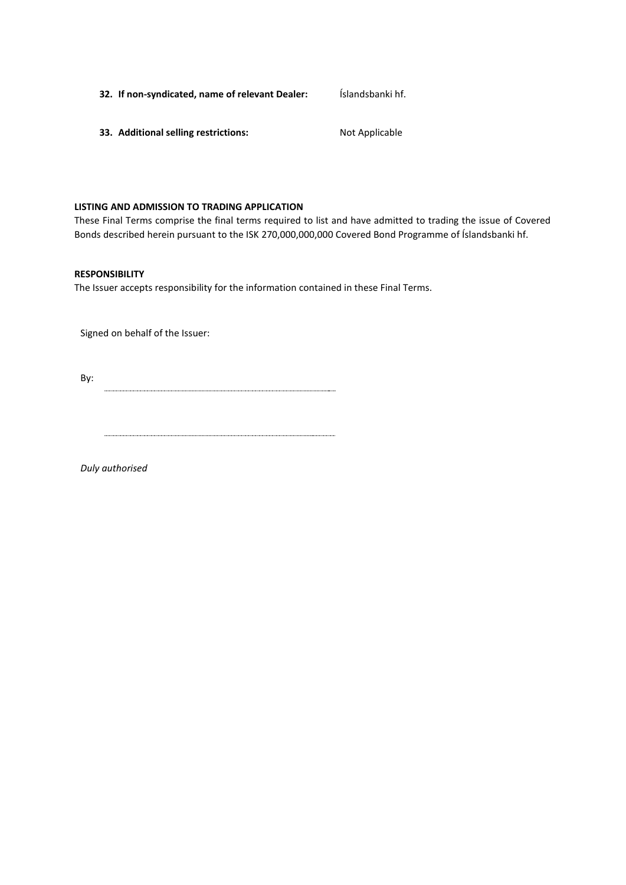| Íslandsbanki hf.<br>32. If non-syndicated, name of relevant Dealer: |  |
|---------------------------------------------------------------------|--|
|---------------------------------------------------------------------|--|

**33. Additional selling restrictions:** Not Applicable

#### **LISTING AND ADMISSION TO TRADING APPLICATION**

These Final Terms comprise the final terms required to list and have admitted to trading the issue of Covered Bonds described herein pursuant to the ISK 270,000,000,000 Covered Bond Programme of Íslandsbanki hf.

#### **RESPONSIBILITY**

The Issuer accepts responsibility for the information contained in these Final Terms.

Signed on behalf of the Issuer:

By: 

*Duly authorised*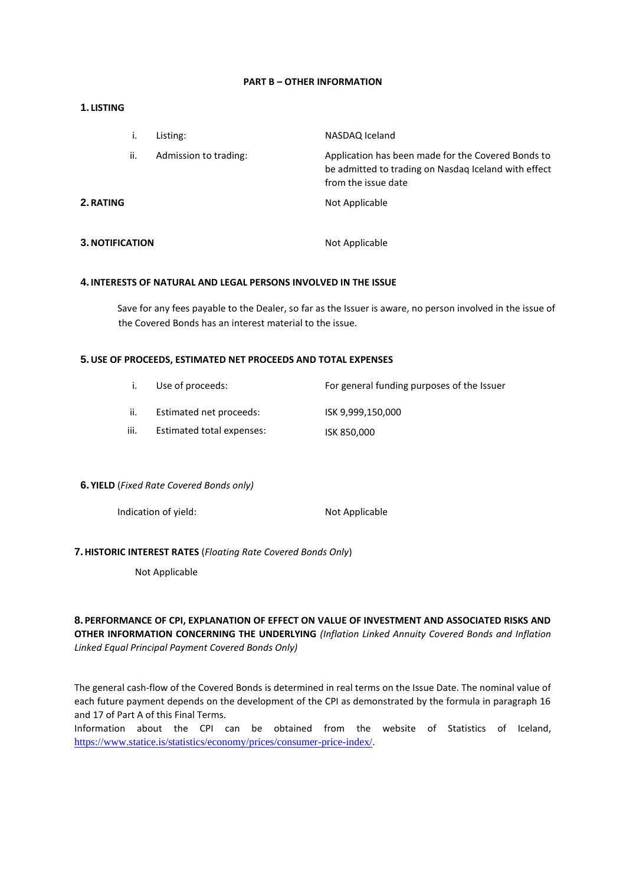#### **PART B – OTHER INFORMATION**

#### **1. LISTING**

|                 | ۱.  | Listing:              | NASDAQ Iceland                                                                                                                    |
|-----------------|-----|-----------------------|-----------------------------------------------------------------------------------------------------------------------------------|
|                 | ii. | Admission to trading: | Application has been made for the Covered Bonds to<br>be admitted to trading on Nasdaq Iceland with effect<br>from the issue date |
| 2. RATING       |     |                       | Not Applicable                                                                                                                    |
| 3. NOTIFICATION |     |                       | Not Applicable                                                                                                                    |

#### **4. INTERESTS OF NATURAL AND LEGAL PERSONS INVOLVED IN THE ISSUE**

Save for any fees payable to the Dealer, so far as the Issuer is aware, no person involved in the issue of the Covered Bonds has an interest material to the issue.

#### **5.USE OF PROCEEDS, ESTIMATED NET PROCEEDS AND TOTAL EXPENSES**

|      | Use of proceeds:          | For general funding purposes of the Issuer |
|------|---------------------------|--------------------------------------------|
| ii.  | Estimated net proceeds:   | ISK 9.999.150.000                          |
| iii. | Estimated total expenses: | ISK 850,000                                |

#### **6. YIELD** (*Fixed Rate Covered Bonds only)*

Indication of yield: Not Applicable

#### **7.HISTORIC INTEREST RATES** (*Floating Rate Covered Bonds Only*)

Not Applicable

**8. PERFORMANCE OF CPI, EXPLANATION OF EFFECT ON VALUE OF INVESTMENT AND ASSOCIATED RISKS AND OTHER INFORMATION CONCERNING THE UNDERLYING** *(Inflation Linked Annuity Covered Bonds and Inflation Linked Equal Principal Payment Covered Bonds Only)*

The general cash-flow of the Covered Bonds is determined in real terms on the Issue Date. The nominal value of each future payment depends on the development of the CPI as demonstrated by the formula in paragraph 16 and 17 of Part A of this Final Terms.

Information about the CPI can be obtained from the website of Statistics of Iceland, <https://www.statice.is/statistics/economy/prices/consumer-price-index/>.